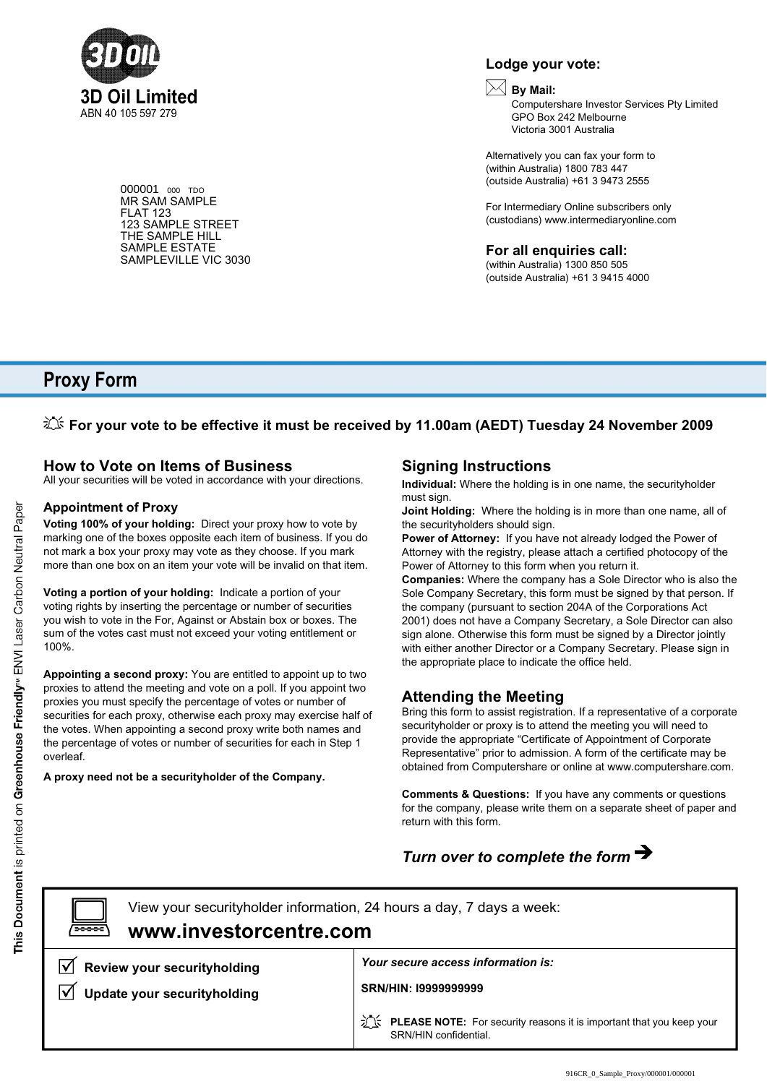

000001 <sup>000</sup> TDO MR SAM SAMPLE FLAT 123 123 SAMPLE STREET THE SAMPLE HILL SAMPLE ESTATE SAMPLEVILLE VIC 3030

# **Lodge your vote:**

### **By Mail:**

Computershare Investor Services Pty Limited GPO Box 242 Melbourne Victoria 3001 Australia

Alternatively you can fax your form to (within Australia) 1800 783 447 (outside Australia) +61 3 9473 2555

For Intermediary Online subscribers only (custodians) www.intermediaryonline.com

**For all enquiries call:**

(within Australia) 1300 850 505 (outside Australia) +61 3 9415 4000

# **Proxy Form**

# *L***<sup>t</sup> For your vote to be effective it must be received by 11.00am (AEDT) Tuesday 24 November 2009**

### **How to Vote on Items of Business**

All your securities will be voted in accordance with your directions.

### **Appointment of Proxy**

**Voting 100% of your holding:** Direct your proxy how to vote by marking one of the boxes opposite each item of business. If you do not mark a box your proxy may vote as they choose. If you mark more than one box on an item your vote will be invalid on that item.

**Voting a portion of your holding:** Indicate a portion of your voting rights by inserting the percentage or number of securities you wish to vote in the For, Against or Abstain box or boxes. The sum of the votes cast must not exceed your voting entitlement or 100%.

**Appointing a second proxy:** You are entitled to appoint up to two proxies to attend the meeting and vote on a poll. If you appoint two proxies you must specify the percentage of votes or number of securities for each proxy, otherwise each proxy may exercise half of the votes. When appointing a second proxy write both names and the percentage of votes or number of securities for each in Step 1 overleaf.

**A proxy need not be a securityholder of the Company.**

# **Signing Instructions**

**Individual:** Where the holding is in one name, the securityholder must sign.

**Joint Holding:** Where the holding is in more than one name, all of the securityholders should sign.

**Power of Attorney:** If you have not already lodged the Power of Attorney with the registry, please attach a certified photocopy of the Power of Attorney to this form when you return it.

**Companies:** Where the company has a Sole Director who is also the Sole Company Secretary, this form must be signed by that person. If the company (pursuant to section 204A of the Corporations Act 2001) does not have a Company Secretary, a Sole Director can also sign alone. Otherwise this form must be signed by a Director jointly with either another Director or a Company Secretary. Please sign in the appropriate place to indicate the office held.

# **Attending the Meeting**

Bring this form to assist registration. If a representative of a corporate securityholder or proxy is to attend the meeting you will need to provide the appropriate "Certificate of Appointment of Corporate Representative" prior to admission. A form of the certificate may be obtained from Computershare or online at www.computershare.com.

**Comments & Questions:** If you have any comments or questions for the company, please write them on a separate sheet of paper and return with this form.

# *Turn over to complete the form*

**www.investorcentre.com** View your securityholder information, 24 hours a day, 7 days a week:

**Review your securityholding**  $\overline{\mathsf{v}}$ **Update your securityholding**

*Your secure access information is:*

**SRN/HIN: I9999999999**

**PLEASE NOTE:** For security reasons it is important that you keep your SRN/HIN confidential.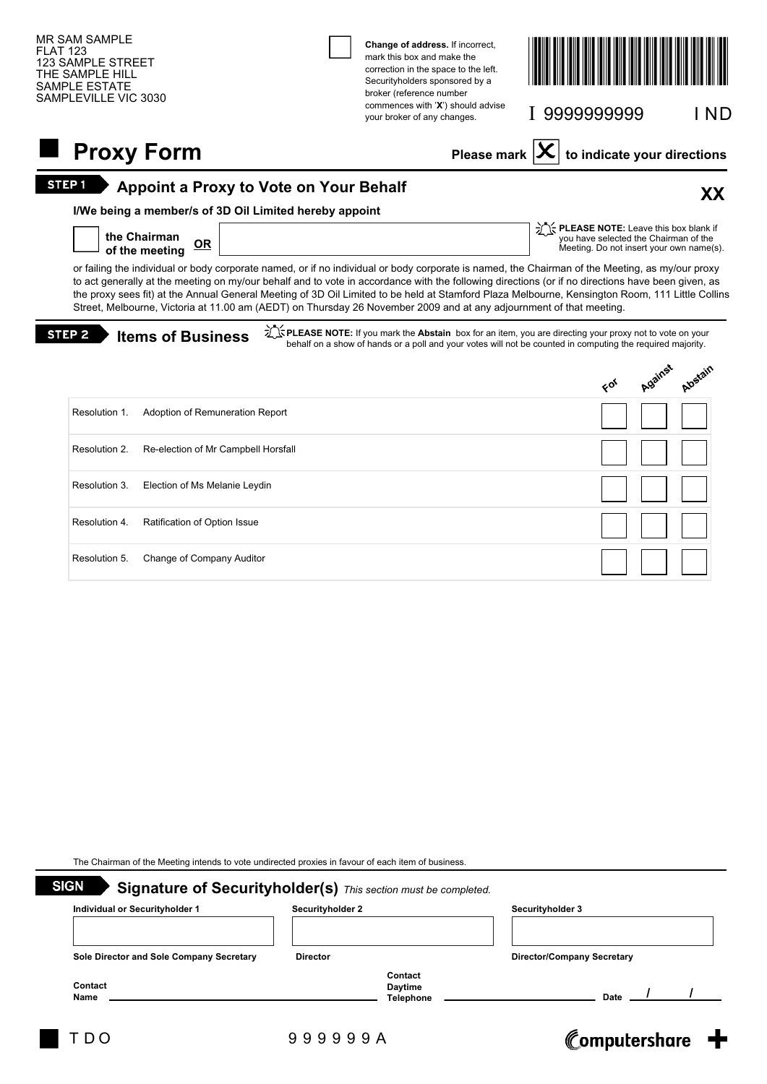| <b>MR SAM SAMPLE</b><br><b>FLAT 123</b><br>123 SAMPLE STREET<br>THE SAMPLE HILL<br>SAMPLE ESTATE<br>SAMPLEVILLE VIC 3030 |                                               | Change of address. If incorrect,<br>mark this box and make the<br>correction in the space to the left.<br>Securityholders sponsored by a<br>broker (reference number                                                                                                                                                                                                                                                                                                                                                                                                           |                                          |    |                                       |                                          |
|--------------------------------------------------------------------------------------------------------------------------|-----------------------------------------------|--------------------------------------------------------------------------------------------------------------------------------------------------------------------------------------------------------------------------------------------------------------------------------------------------------------------------------------------------------------------------------------------------------------------------------------------------------------------------------------------------------------------------------------------------------------------------------|------------------------------------------|----|---------------------------------------|------------------------------------------|
|                                                                                                                          |                                               | commences with 'X') should advise<br>your broker of any changes.                                                                                                                                                                                                                                                                                                                                                                                                                                                                                                               | I 9999999999                             |    |                                       | I ND                                     |
| <b>Proxy Form</b>                                                                                                        |                                               | Please mark                                                                                                                                                                                                                                                                                                                                                                                                                                                                                                                                                                    |                                          |    |                                       | to indicate your directions              |
| STEP <sub>1</sub>                                                                                                        | <b>Appoint a Proxy to Vote on Your Behalf</b> |                                                                                                                                                                                                                                                                                                                                                                                                                                                                                                                                                                                |                                          |    |                                       | XX                                       |
| I/We being a member/s of 3D Oil Limited hereby appoint<br>the Chairman<br>$OR$<br>of the meeting                         |                                               |                                                                                                                                                                                                                                                                                                                                                                                                                                                                                                                                                                                | The PLEASE NOTE: Leave this box blank if |    | you have selected the Chairman of the | Meeting. Do not insert your own name(s). |
|                                                                                                                          |                                               | or failing the individual or body corporate named, or if no individual or body corporate is named, the Chairman of the Meeting, as my/our proxy<br>to act generally at the meeting on my/our behalf and to vote in accordance with the following directions (or if no directions have been given, as<br>the proxy sees fit) at the Annual General Meeting of 3D Oil Limited to be held at Stamford Plaza Melbourne, Kensington Room, 111 Little Collins<br>Street, Melbourne, Victoria at 11.00 am (AEDT) on Thursday 26 November 2009 and at any adjournment of that meeting. |                                          |    |                                       |                                          |
| STEP <sub>2</sub><br><b>Items of Business</b>                                                                            |                                               | PLEASE NOTE: If you mark the Abstain box for an item, you are directing your proxy not to vote on your<br>behalf on a show of hands or a poll and your votes will not be counted in computing the required majority.                                                                                                                                                                                                                                                                                                                                                           |                                          |    |                                       |                                          |
|                                                                                                                          |                                               |                                                                                                                                                                                                                                                                                                                                                                                                                                                                                                                                                                                |                                          | 66 | Against                               | Albstair                                 |
| Resolution 1.<br>Adoption of Remuneration Report                                                                         |                                               |                                                                                                                                                                                                                                                                                                                                                                                                                                                                                                                                                                                |                                          |    |                                       |                                          |
| Resolution 2.<br>Re-election of Mr Campbell Horsfall                                                                     |                                               |                                                                                                                                                                                                                                                                                                                                                                                                                                                                                                                                                                                |                                          |    |                                       |                                          |
| Resolution 3.<br>Election of Ms Melanie Leydin                                                                           |                                               |                                                                                                                                                                                                                                                                                                                                                                                                                                                                                                                                                                                |                                          |    |                                       |                                          |
| Ratification of Option Issue<br>Resolution 4.                                                                            |                                               |                                                                                                                                                                                                                                                                                                                                                                                                                                                                                                                                                                                |                                          |    |                                       |                                          |
| Change of Company Auditor<br>Resolution 5.                                                                               |                                               |                                                                                                                                                                                                                                                                                                                                                                                                                                                                                                                                                                                |                                          |    |                                       |                                          |
|                                                                                                                          |                                               |                                                                                                                                                                                                                                                                                                                                                                                                                                                                                                                                                                                |                                          |    |                                       |                                          |
|                                                                                                                          |                                               |                                                                                                                                                                                                                                                                                                                                                                                                                                                                                                                                                                                |                                          |    |                                       |                                          |
|                                                                                                                          |                                               |                                                                                                                                                                                                                                                                                                                                                                                                                                                                                                                                                                                |                                          |    |                                       |                                          |
|                                                                                                                          |                                               |                                                                                                                                                                                                                                                                                                                                                                                                                                                                                                                                                                                |                                          |    |                                       |                                          |
|                                                                                                                          |                                               |                                                                                                                                                                                                                                                                                                                                                                                                                                                                                                                                                                                |                                          |    |                                       |                                          |

The Chairman of the Meeting intends to vote undirected proxies in favour of each item of business.

| Contact |                                    |      |                                   |
|---------|------------------------------------|------|-----------------------------------|
|         | <b>Daytime</b><br><b>Telephone</b> | Date | <b>Director/Company Secretary</b> |

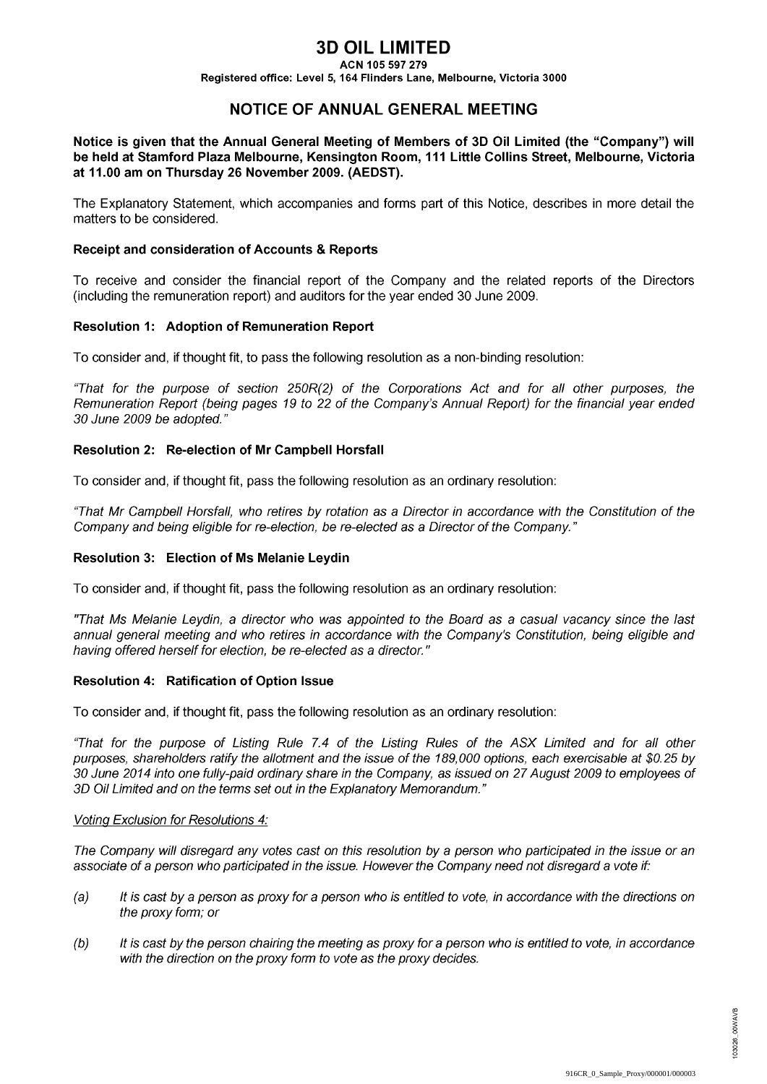# **3D OIL LIMITED**

ACN 105 597 279

Registered office: Level 5, 164 Flinders Lane, Melbourne, Victoria 3000

# NOTICE OF ANNUAL GENERAL MEETING

Notice is given that the Annual General Meeting of Members of 3D Oil Limited (the "Company") will be held at Stamford Plaza Melbourne, Kensington Room, 111 Little Collins Street, Melbourne, Victoria at 11.00 am on Thursday 26 November 2009. (AEDST).

The Explanatory Statement, which accompanies and forms part of this Notice, describes in more detail the matters to be considered.

#### Receipt and consideration of Accounts & Reports

To receive and consider the financial report of the Company and the related reports of the Directors (including the remuneration report) and auditors for the year ended 30 June 2009.

### Resolution 1: Adoption of Remuneration Report

To consider and, if thought fit, to pass the following resolution as a non-binding resolution:

"That for the purpose of section 250R(2) of the Corporations Act and for all other purposes, the Remuneration Report (being pages 19 to 22 of the Company's Annual Report) for the financial year ended 30 June 2009 be adopted."

#### Resolution 2: Re-election of Mr Campbell Horsfall

To consider and, if thought fit, pass the following resolution as an ordinary resolution:

"That Mr Campbell Horsfall, who retires by rotation as a Director in accordance with the Constitution of the Company and being eligible for re-election, be re-elected as a Director of the Company."

#### **Resolution 3: Election of Ms Melanie Leydin**

To consider and, if thought fit, pass the following resolution as an ordinary resolution:

"That Ms Melanie Leydin, a director who was appointed to the Board as a casual vacancy since the last annual general meeting and who retires in accordance with the Company's Constitution, being eligible and having offered herself for election, be re-elected as a director."

#### Resolution 4: Ratification of Option Issue

To consider and, if thought fit, pass the following resolution as an ordinary resolution:

"That for the purpose of Listing Rule 7.4 of the Listing Rules of the ASX Limited and for all other purposes, shareholders ratify the allotment and the issue of the 189,000 options, each exercisable at \$0.25 by 30 June 2014 into one fully-paid ordinary share in the Company, as issued on 27 August 2009 to employees of 3D Oil Limited and on the terms set out in the Explanatory Memorandum."

#### Voting Exclusion for Resolutions 4:

The Company will disregard any votes cast on this resolution by a person who participated in the issue or an associate of a person who participated in the issue. However the Company need not disregard a vote if:

- $(a)$ It is cast by a person as proxy for a person who is entitled to vote, in accordance with the directions on the proxy form; or
- $(b)$ It is cast by the person chairing the meeting as proxy for a person who is entitled to vote, in accordance with the direction on the proxy form to vote as the proxy decides.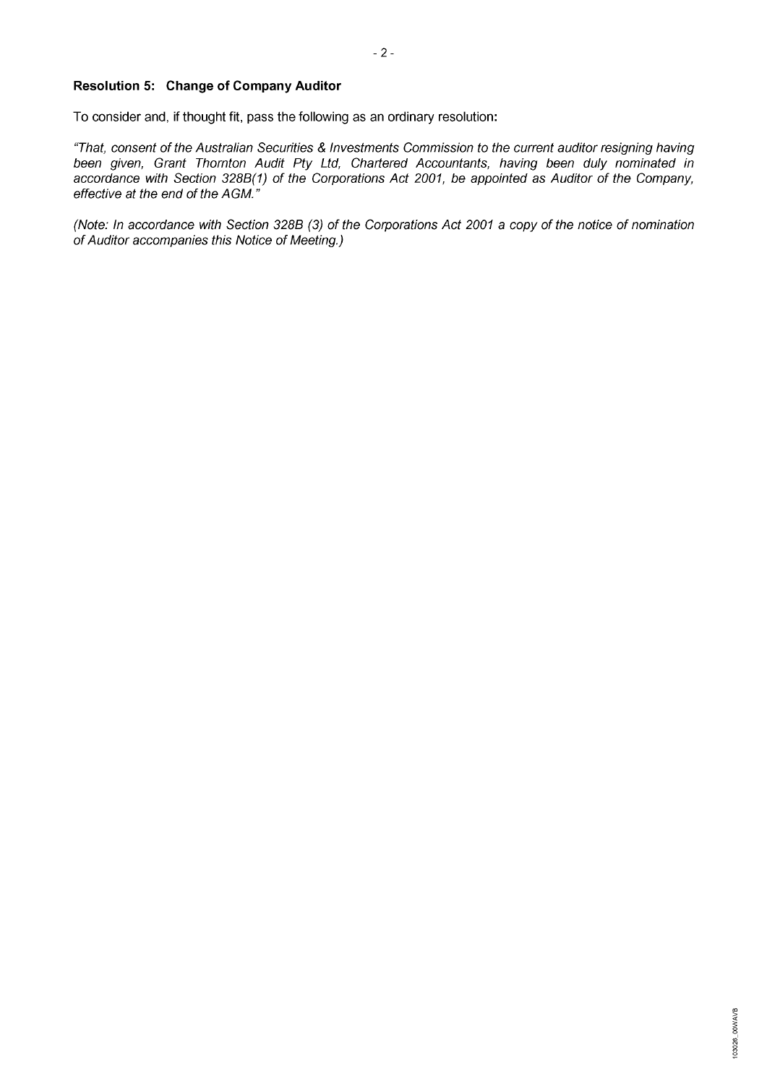### Resolution 5: Change of Company Auditor

To consider and, if thought fit, pass the following as an ordinary resolution:

"That, consent of the Australian Securities & Investments Commission to the current auditor resigning having been given, Grant Thornton Audit Pty Ltd, Chartered Accountants, having been duly nominated in accordance with Section 328B(1) of the Corporations Act 2001, be appointed as Auditor of the Company, effective at the end of the AGM."

(Note: In accordance with Section 328B (3) of the Corporations Act 2001 a copy of the notice of nomination of Auditor accompanies this Notice of Meeting.)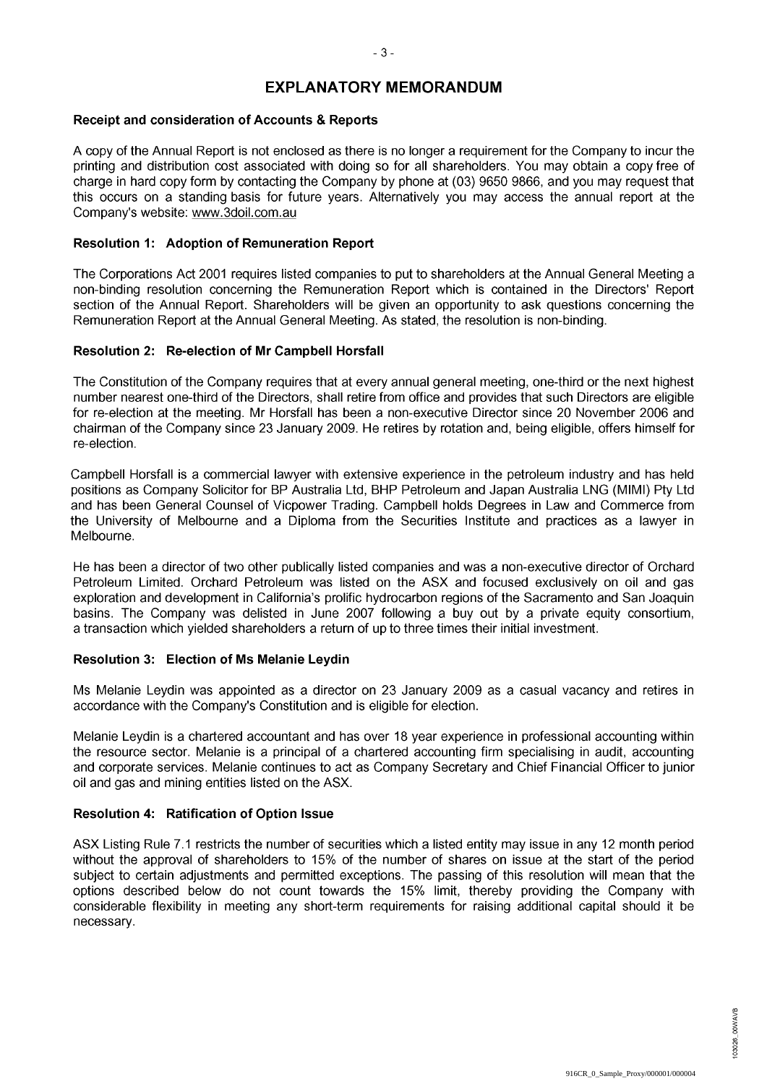## **EXPLANATORY MEMORANDUM**

 $-3-$ 

#### Receipt and consideration of Accounts & Reports

A copy of the Annual Report is not enclosed as there is no longer a requirement for the Company to incur the printing and distribution cost associated with doing so for all shareholders. You may obtain a copy free of charge in hard copy form by contacting the Company by phone at (03) 9650 9866, and you may request that this occurs on a standing basis for future years. Alternatively you may access the annual report at the Company's website: www.3doil.com.au

#### Resolution 1: Adoption of Remuneration Report

The Corporations Act 2001 requires listed companies to put to shareholders at the Annual General Meeting a non-binding resolution concerning the Remuneration Report which is contained in the Directors' Report section of the Annual Report. Shareholders will be given an opportunity to ask guestions concerning the Remuneration Report at the Annual General Meeting. As stated, the resolution is non-binding.

#### Resolution 2: Re-election of Mr Campbell Horsfall

The Constitution of the Company requires that at every annual general meeting, one-third or the next highest number nearest one-third of the Directors, shall retire from office and provides that such Directors are eligible for re-election at the meeting. Mr Horsfall has been a non-executive Director since 20 November 2006 and chairman of the Company since 23 January 2009. He retires by rotation and, being eligible, offers himself for re-election.

Campbell Horsfall is a commercial lawyer with extensive experience in the petroleum industry and has held positions as Company Solicitor for BP Australia Ltd, BHP Petroleum and Japan Australia LNG (MIMI) Pty Ltd and has been General Counsel of Vicpower Trading. Campbell holds Degrees in Law and Commerce from the University of Melbourne and a Diploma from the Securities Institute and practices as a lawyer in Melbourne.

He has been a director of two other publically listed companies and was a non-executive director of Orchard Petroleum Limited. Orchard Petroleum was listed on the ASX and focused exclusively on oil and gas exploration and development in California's prolific hydrocarbon regions of the Sacramento and San Joaquin basins. The Company was delisted in June 2007 following a buy out by a private equity consortium, a transaction which vielded shareholders a return of up to three times their initial investment.

#### Resolution 3: Election of Ms Melanie Leydin

Ms Melanie Levdin was appointed as a director on 23 January 2009 as a casual vacancy and retires in accordance with the Company's Constitution and is eligible for election.

Melanie Leydin is a chartered accountant and has over 18 year experience in professional accounting within the resource sector. Melanie is a principal of a chartered accounting firm specialising in audit, accounting and corporate services. Melanie continues to act as Company Secretary and Chief Financial Officer to junior oil and gas and mining entities listed on the ASX.

### Resolution 4: Ratification of Option Issue

ASX Listing Rule 7.1 restricts the number of securities which a listed entity may issue in any 12 month period without the approval of shareholders to 15% of the number of shares on issue at the start of the period subject to certain adjustments and permitted exceptions. The passing of this resolution will mean that the options described below do not count towards the 15% limit, thereby providing the Company with considerable flexibility in meeting any short-term requirements for raising additional capital should it be necessary.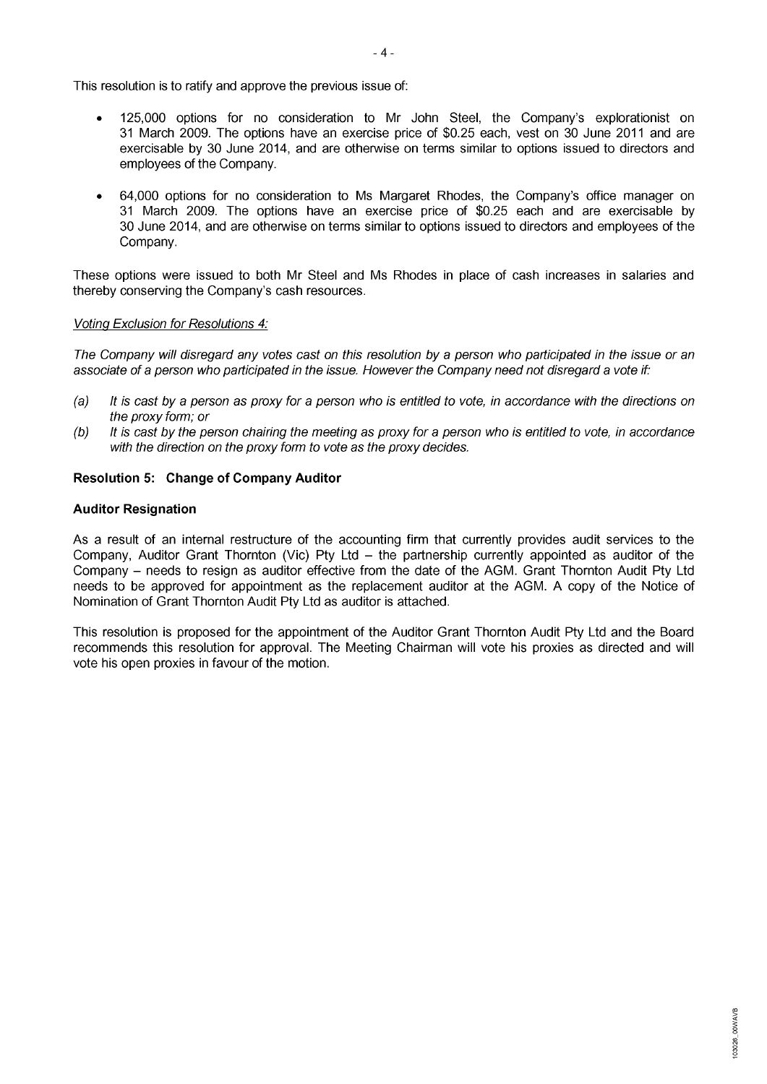This resolution is to ratify and approve the previous issue of:

- 125,000 options for no consideration to Mr John Steel, the Company's explorationist on  $\bullet$ 31 March 2009. The options have an exercise price of \$0.25 each, vest on 30 June 2011 and are exercisable by 30 June 2014, and are otherwise on terms similar to options issued to directors and employees of the Company.
- 64,000 options for no consideration to Ms Margaret Rhodes, the Company's office manager on  $\bullet$ 31 March 2009. The options have an exercise price of \$0.25 each and are exercisable by 30 June 2014, and are otherwise on terms similar to options issued to directors and employees of the Company.

These options were issued to both Mr Steel and Ms Rhodes in place of cash increases in salaries and thereby conserving the Company's cash resources.

#### Voting Exclusion for Resolutions 4:

The Company will disregard any votes cast on this resolution by a person who participated in the issue or an associate of a person who participated in the issue. However the Company need not disregard a vote if:

- $(a)$ It is cast by a person as proxy for a person who is entitled to vote, in accordance with the directions on the proxy form; or
- It is cast by the person chairing the meeting as proxy for a person who is entitled to vote, in accordance  $(b)$ with the direction on the proxy form to vote as the proxy decides.

### **Resolution 5: Change of Company Auditor**

#### **Auditor Resignation**

As a result of an internal restructure of the accounting firm that currently provides audit services to the Company, Auditor Grant Thornton (Vic) Pty Ltd - the partnership currently appointed as auditor of the Company - needs to resign as auditor effective from the date of the AGM. Grant Thornton Audit Pty Ltd needs to be approved for appointment as the replacement auditor at the AGM. A copy of the Notice of Nomination of Grant Thornton Audit Pty Ltd as auditor is attached.

This resolution is proposed for the appointment of the Auditor Grant Thornton Audit Pty Ltd and the Board recommends this resolution for approval. The Meeting Chairman will vote his proxies as directed and will vote his open proxies in favour of the motion.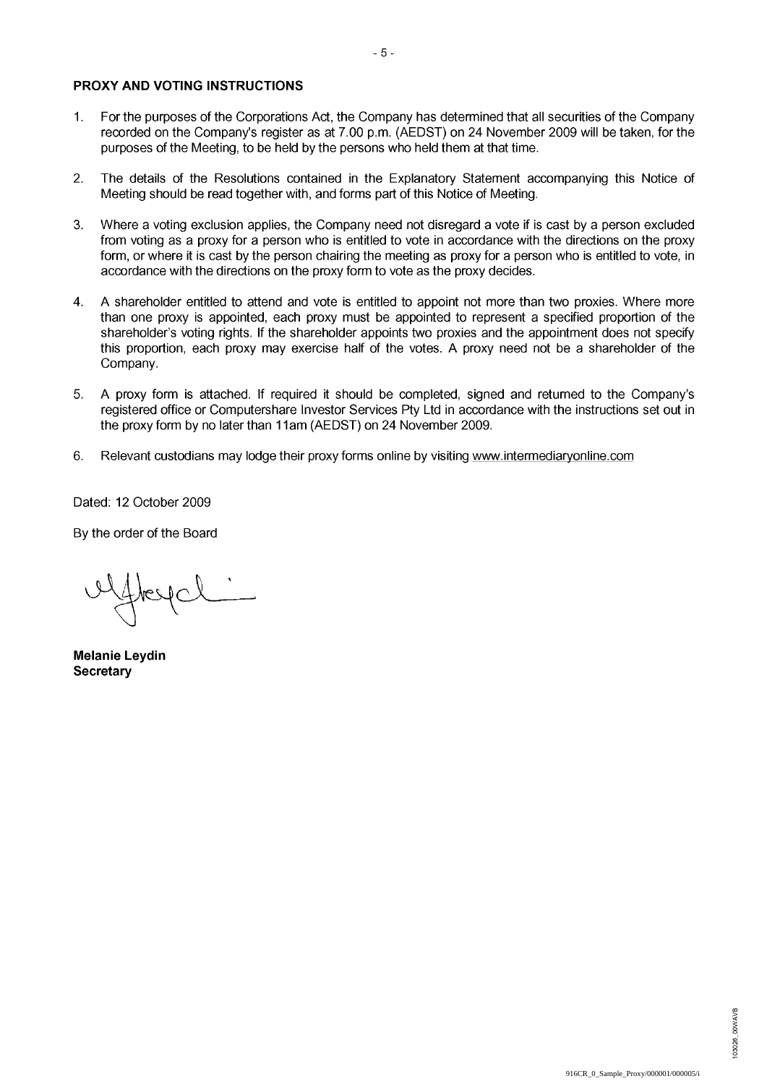#### PROXY AND VOTING INSTRUCTIONS

- For the purposes of the Corporations Act, the Company has determined that all securities of the Company  $1<sup>1</sup>$ recorded on the Company's register as at 7.00 p.m. (AEDST) on 24 November 2009 will be taken, for the purposes of the Meeting, to be held by the persons who held them at that time.
- The details of the Resolutions contained in the Explanatory Statement accompanying this Notice of  $2.$ Meeting should be read together with, and forms part of this Notice of Meeting.
- $3<sub>1</sub>$ Where a voting exclusion applies, the Company need not disregard a vote if is cast by a person excluded from voting as a proxy for a person who is entitled to vote in accordance with the directions on the proxy form, or where it is cast by the person chairing the meeting as proxy for a person who is entitled to vote, in accordance with the directions on the proxy form to vote as the proxy decides.
- $\overline{4}$ . A shareholder entitled to attend and vote is entitled to appoint not more than two proxies. Where more than one proxy is appointed, each proxy must be appointed to represent a specified proportion of the shareholder's voting rights. If the shareholder appoints two proxies and the appointment does not specify this proportion, each proxy may exercise half of the votes. A proxy need not be a shareholder of the Company.
- 5. A proxy form is attached. If required it should be completed, signed and returned to the Company's registered office or Computershare Investor Services Pty Ltd in accordance with the instructions set out in the proxy form by no later than 11am (AEDST) on 24 November 2009.
- 6. Relevant custodians may lodge their proxy forms online by visiting www.intermediaryonline.com

Dated: 12 October 2009

By the order of the Board

**Melanie Leydin Secretary**